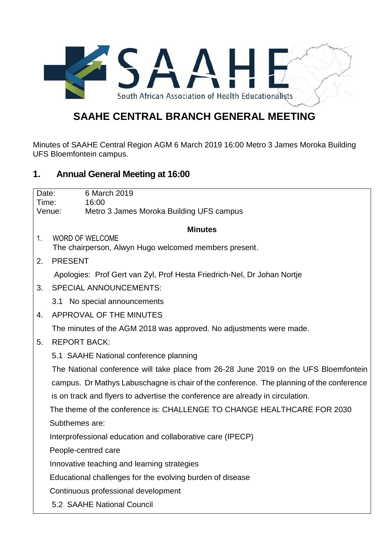

## **SAAHE CENTRAL BRANCH GENERAL MEETING**

Minutes of SAAHE Central Region AGM 6 March 2019 16:00 Metro 3 James Moroka Building UFS Bloemfontein campus.

## **1. Annual General Meeting at 16:00**

| Date:          | 6 March 2019                                                                             |
|----------------|------------------------------------------------------------------------------------------|
| Time:          | 16:00                                                                                    |
|                | Venue:<br>Metro 3 James Moroka Building UFS campus                                       |
| <b>Minutes</b> |                                                                                          |
| 1 <sub>1</sub> | <b>WORD OF WELCOME</b>                                                                   |
|                | The chairperson, Alwyn Hugo welcomed members present.                                    |
| 2.             | <b>PRESENT</b>                                                                           |
|                | Apologies: Prof Gert van Zyl, Prof Hesta Friedrich-Nel, Dr Johan Nortje                  |
| 3.             | <b>SPECIAL ANNOUNCEMENTS:</b>                                                            |
|                | 3.1 No special announcements                                                             |
| 4.             | APPROVAL OF THE MINUTES                                                                  |
|                | The minutes of the AGM 2018 was approved. No adjustments were made.                      |
| 5.             | <b>REPORT BACK:</b>                                                                      |
|                | 5.1 SAAHE National conference planning                                                   |
|                | The National conference will take place from 26-28 June 2019 on the UFS Bloemfontein     |
|                | campus. Dr Mathys Labuschagne is chair of the conference. The planning of the conference |
|                | is on track and flyers to advertise the conference are already in circulation.           |
|                | The theme of the conference is: CHALLENGE TO CHANGE HEALTHCARE FOR 2030                  |
|                | Subthemes are:                                                                           |
|                | Interprofessional education and collaborative care (IPECP)                               |
|                | People-centred care                                                                      |
|                | Innovative teaching and learning strategies                                              |
|                | Educational challenges for the evolving burden of disease                                |
|                | Continuous professional development                                                      |
|                | 5.2 SAAHE National Council                                                               |